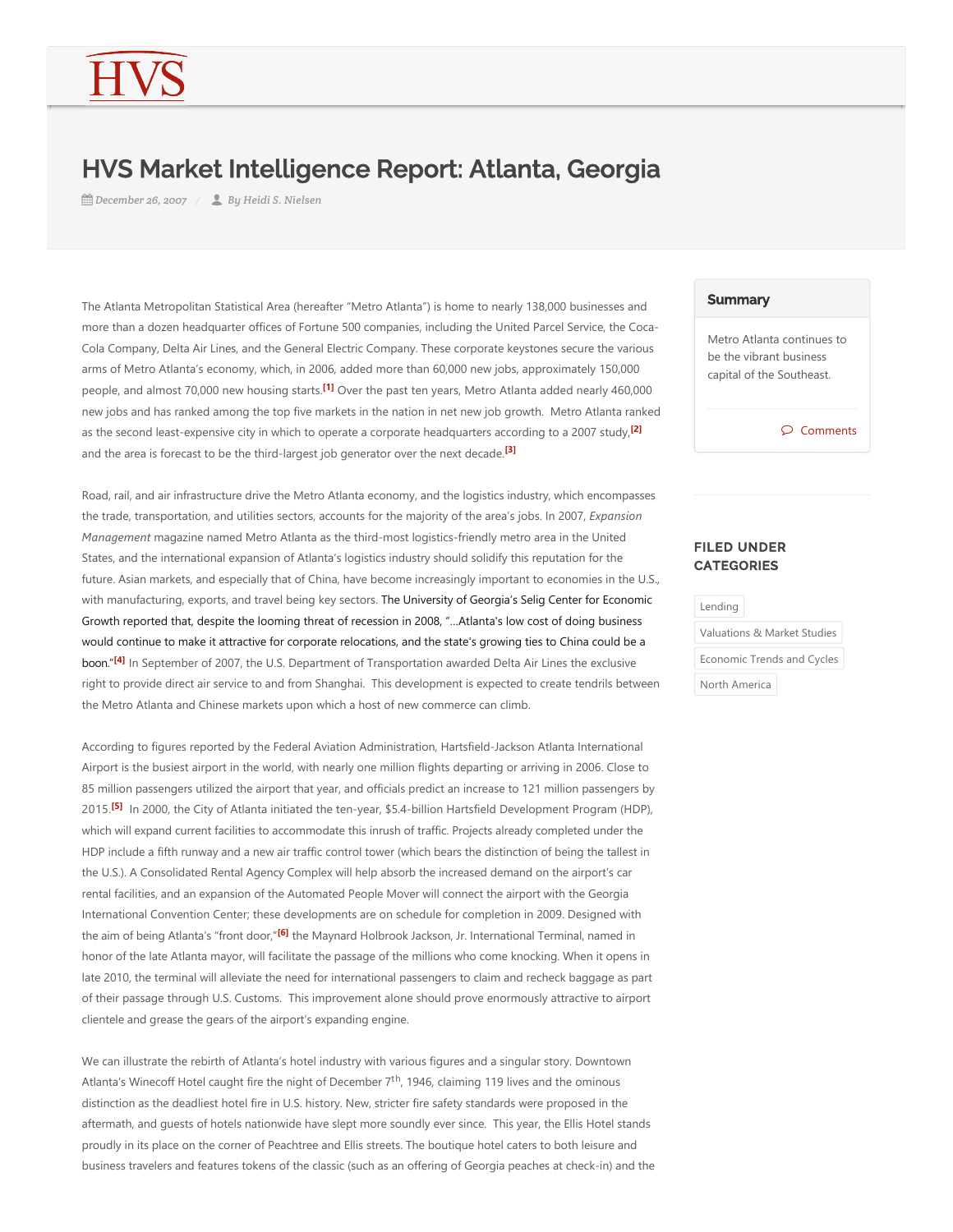## HVS Market Intelligence Report: Atlanta, Georgia

*December 26, 2007 By Heidi S. Nielsen*

<span id="page-0-0"></span>The Atlanta Metropolitan Statistical Area (hereafter "Metro Atlanta") is home to nearly 138,000 businesses and more than a dozen headquarter offices of Fortune 500 companies, including the United Parcel Service, the Coca-Cola Company, Delta Air Lines, and the General Electric Company. These corporate keystones secure the various arms of Metro Atlanta's economy, which, in 2006, added more than 60,000 new jobs, approximately 150,000 people, and almost 70,000 new housing starts.<sup>[\[1\]](#page-1-0)</sup> Over the past ten years, Metro Atlanta added nearly 460,000 new jobs and has ranked among the top five markets in the nation in net new job growth. Metro Atlanta ranked as the second least‐expensive city in which to operate a corporate headquarters according to a 2007 study, **[\[2\]](#page-1-1)** and the area is forecast to be the third‐largest job generator over the next decade. **[\[3\]](#page-1-2)**

Road, rail, and air infrastructure drive the Metro Atlanta economy, and the logistics industry, which encompasses the trade, transportation, and utilities sectors, accounts for the majority of the area's jobs. In 2007, *Expansion Management* magazine named Metro Atlanta as the third‐most logistics‐friendly metro area in the United States, and the international expansion of Atlanta's logistics industry should solidify this reputation for the future. Asian markets, and especially that of China, have become increasingly important to economies in the U.S., with manufacturing, exports, and travel being key sectors. The University of Georgia's Selig Center for Economic Growth reported that, despite the looming threat of recession in 2008, "…Atlanta's low cost of doing business would continue to make it attractive for corporate relocations, and the state's growing ties to China could be a boon."<sup>[\[4\]](#page-1-3)</sup> In September of 2007, the U.S. Department of Transportation awarded Delta Air Lines the exclusive right to provide direct air service to and from Shanghai. This development is expected to create tendrils between the Metro Atlanta and Chinese markets upon which a host of new commerce can climb.

<span id="page-0-4"></span><span id="page-0-3"></span>According to figures reported by the Federal Aviation Administration, Hartsfield‐Jackson Atlanta International Airport is the busiest airport in the world, with nearly one million flights departing or arriving in 2006. Close to 85 million passengers utilized the airport that year, and officials predict an increase to 121 million passengers by 2015.<sup>[\[5\]](#page-1-4)</sup> In 2000, the City of Atlanta initiated the ten-year, \$5.4-billion Hartsfield Development Program (HDP), which will expand current facilities to accommodate this inrush of traffic. Projects already completed under the HDP include a fifth runway and a new air traffic control tower (which bears the distinction of being the tallest in the U.S.). A Consolidated Rental Agency Complex will help absorb the increased demand on the airport's car rental facilities, and an expansion of the Automated People Mover will connect the airport with the Georgia International Convention Center; these developments are on schedule for completion in 2009. Designed with the aim of being Atlanta's "front door,"<mark>[\[6\]](#page-1-5)</mark> the Maynard Holbrook Jackson, Jr. International Terminal, named in honor of the late Atlanta mayor, will facilitate the passage of the millions who come knocking. When it opens in late 2010, the terminal will alleviate the need for international passengers to claim and recheck baggage as part of their passage through U.S. Customs. This improvement alone should prove enormously attractive to airport clientele and grease the gears of the airport's expanding engine.

<span id="page-0-5"></span>We can illustrate the rebirth of Atlanta's hotel industry with various figures and a singular story. Downtown Atlanta's Winecoff Hotel caught fire the night of December  $7<sup>th</sup>$ , 1946, claiming 119 lives and the ominous distinction as the deadliest hotel fire in U.S. history. New, stricter fire safety standards were proposed in the aftermath, and guests of hotels nationwide have slept more soundly ever since. This year, the Ellis Hotel stands proudly in its place on the corner of Peachtree and Ellis streets. The boutique hotel caters to both leisure and business travelers and features tokens of the classic (such as an offering of Georgia peaches at check-in) and the

## **Summary**

<span id="page-0-1"></span>Metro Atlanta continues to be the vibrant business capital of the Southeast.

 $\wp$  Comments

## <span id="page-0-2"></span>FILED UNDER **CATEGORIES**